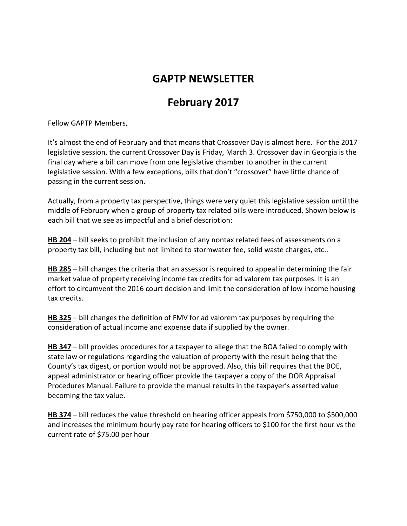## **GAPTP NEWSLETTER**

## **February 2017**

Fellow GAPTP Members,

It's almost the end of February and that means that Crossover Day is almost here. For the 2017 legislative session, the current Crossover Day is Friday, March 3. Crossover day in Georgia is the final day where a bill can move from one legislative chamber to another in the current legislative session. With a few exceptions, bills that don't "crossover" have little chance of passing in the current session.

Actually, from a property tax perspective, things were very quiet this legislative session until the middle of February when a group of property tax related bills were introduced. Shown below is each bill that we see as impactful and a brief description:

**HB 204** – bill seeks to prohibit the inclusion of any nontax related fees of assessments on a property tax bill, including but not limited to stormwater fee, solid waste charges, etc..

**HB 285** – bill changes the criteria that an assessor is required to appeal in determining the fair market value of property receiving income tax credits for ad valorem tax purposes. It is an effort to circumvent the 2016 court decision and limit the consideration of low income housing tax credits.

**HB 325** – bill changes the definition of FMV for ad valorem tax purposes by requiring the consideration of actual income and expense data if supplied by the owner.

**HB 347** – bill provides procedures for a taxpayer to allege that the BOA failed to comply with state law or regulations regarding the valuation of property with the result being that the County's tax digest, or portion would not be approved. Also, this bill requires that the BOE, appeal administrator or hearing officer provide the taxpayer a copy of the DOR Appraisal Procedures Manual. Failure to provide the manual results in the taxpayer's asserted value becoming the tax value.

**HB 374** – bill reduces the value threshold on hearing officer appeals from \$750,000 to \$500,000 and increases the minimum hourly pay rate for hearing officers to \$100 for the first hour vs the current rate of \$75.00 per hour